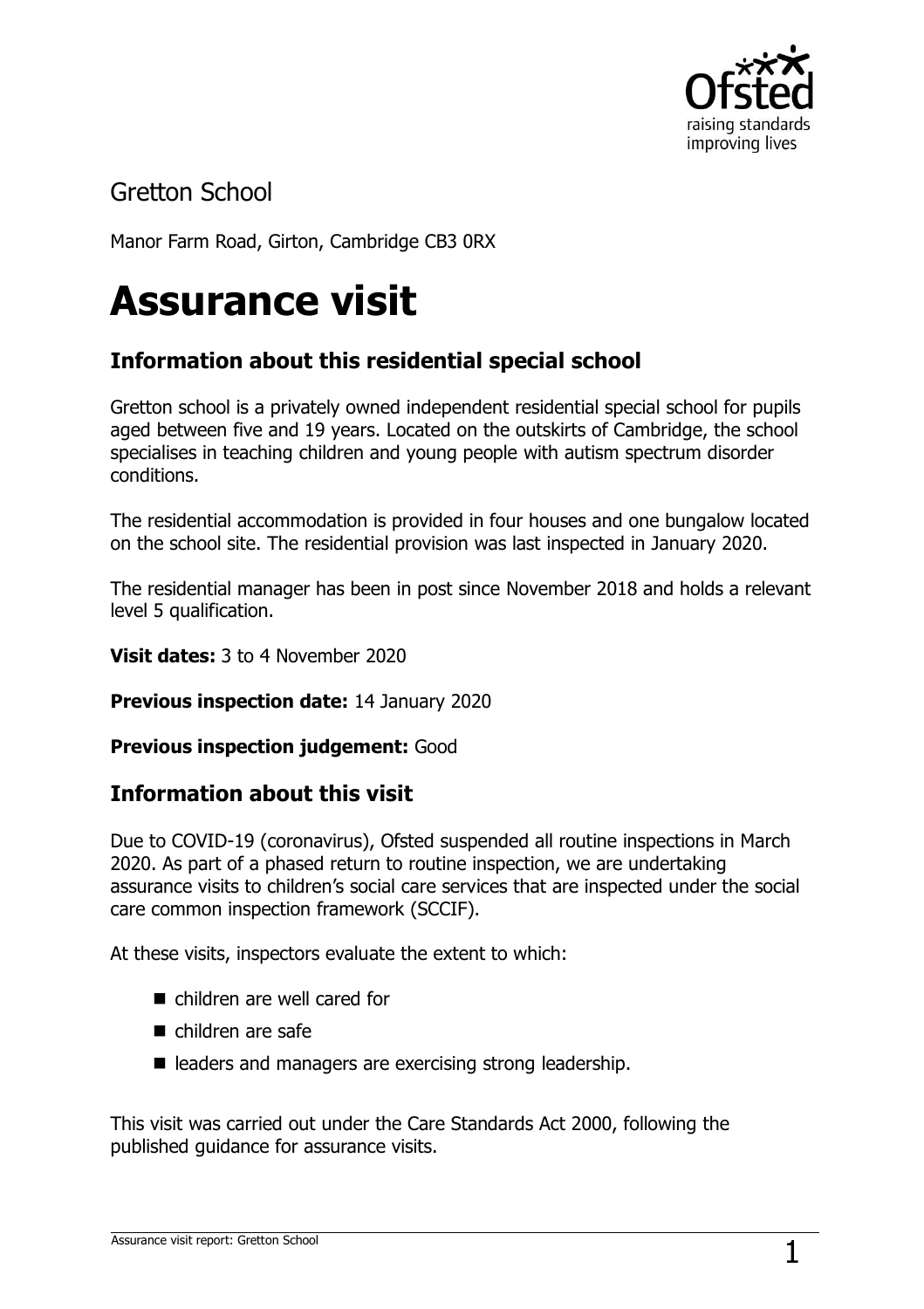

# Gretton School

Manor Farm Road, Girton, Cambridge CB3 0RX

# **Assurance visit**

## **Information about this residential special school**

Gretton school is a privately owned independent residential special school for pupils aged between five and 19 years. Located on the outskirts of Cambridge, the school specialises in teaching children and young people with autism spectrum disorder conditions.

The residential accommodation is provided in four houses and one bungalow located on the school site. The residential provision was last inspected in January 2020.

The residential manager has been in post since November 2018 and holds a relevant level 5 qualification.

**Visit dates:** 3 to 4 November 2020

**Previous inspection date:** 14 January 2020

**Previous inspection judgement:** Good

### **Information about this visit**

Due to COVID-19 (coronavirus), Ofsted suspended all routine inspections in March 2020. As part of a phased return to routine inspection, we are undertaking assurance visits to children's social care services that are inspected under the social care common inspection framework (SCCIF).

At these visits, inspectors evaluate the extent to which:

- children are well cared for
- children are safe
- leaders and managers are exercising strong leadership.

This visit was carried out under the Care Standards Act 2000, following the published guidance for assurance visits.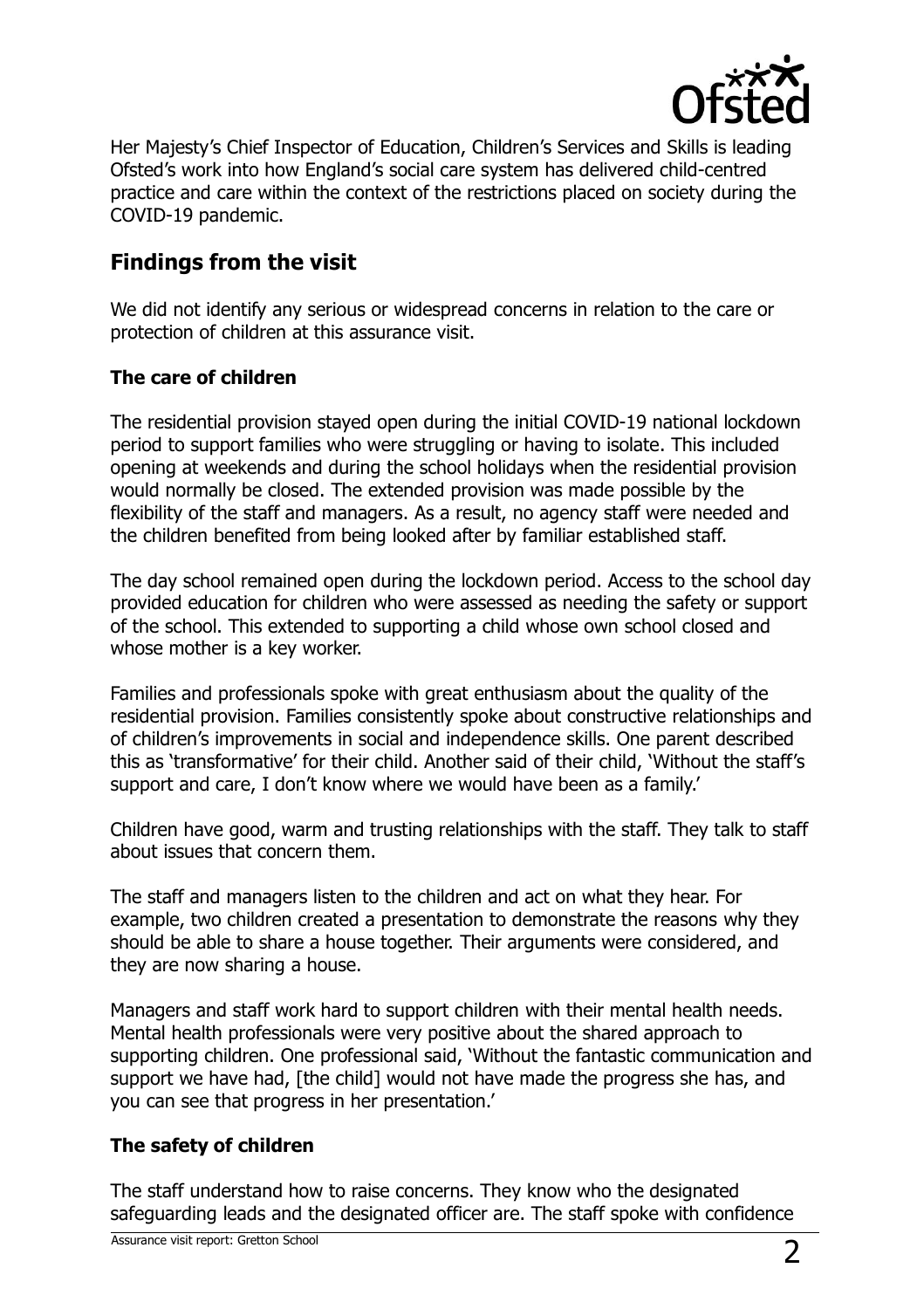

Her Majesty's Chief Inspector of Education, Children's Services and Skills is leading Ofsted's work into how England's social care system has delivered child-centred practice and care within the context of the restrictions placed on society during the COVID-19 pandemic.

## **Findings from the visit**

We did not identify any serious or widespread concerns in relation to the care or protection of children at this assurance visit.

#### **The care of children**

The residential provision stayed open during the initial COVID-19 national lockdown period to support families who were struggling or having to isolate. This included opening at weekends and during the school holidays when the residential provision would normally be closed. The extended provision was made possible by the flexibility of the staff and managers. As a result, no agency staff were needed and the children benefited from being looked after by familiar established staff.

The day school remained open during the lockdown period. Access to the school day provided education for children who were assessed as needing the safety or support of the school. This extended to supporting a child whose own school closed and whose mother is a key worker.

Families and professionals spoke with great enthusiasm about the quality of the residential provision. Families consistently spoke about constructive relationships and of children's improvements in social and independence skills. One parent described this as 'transformative' for their child. Another said of their child, 'Without the staff's support and care, I don't know where we would have been as a family.'

Children have good, warm and trusting relationships with the staff. They talk to staff about issues that concern them.

The staff and managers listen to the children and act on what they hear. For example, two children created a presentation to demonstrate the reasons why they should be able to share a house together. Their arguments were considered, and they are now sharing a house.

Managers and staff work hard to support children with their mental health needs. Mental health professionals were very positive about the shared approach to supporting children. One professional said, 'Without the fantastic communication and support we have had, [the child] would not have made the progress she has, and you can see that progress in her presentation.'

#### **The safety of children**

The staff understand how to raise concerns. They know who the designated safeguarding leads and the designated officer are. The staff spoke with confidence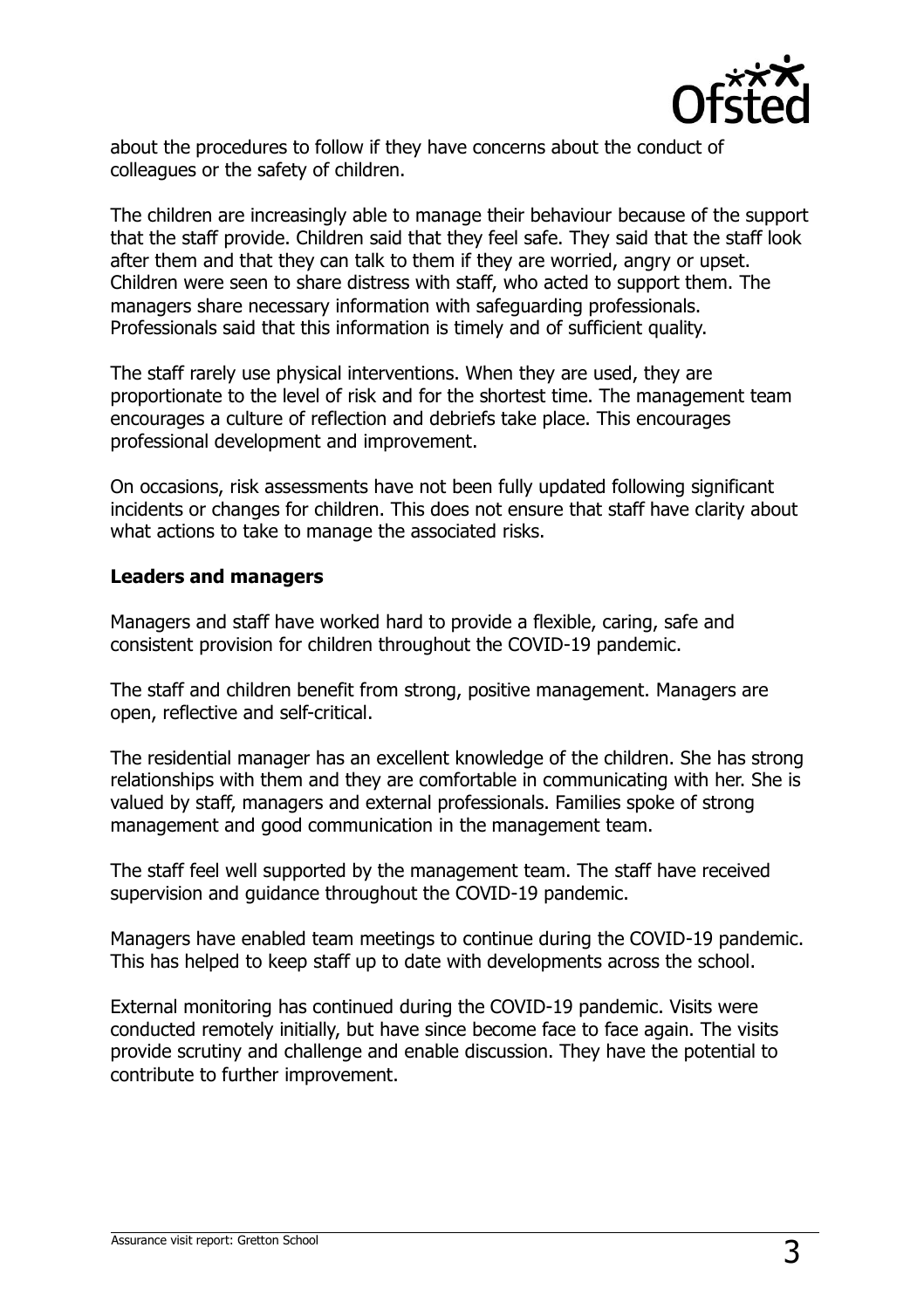

about the procedures to follow if they have concerns about the conduct of colleagues or the safety of children.

The children are increasingly able to manage their behaviour because of the support that the staff provide. Children said that they feel safe. They said that the staff look after them and that they can talk to them if they are worried, angry or upset. Children were seen to share distress with staff, who acted to support them. The managers share necessary information with safeguarding professionals. Professionals said that this information is timely and of sufficient quality.

The staff rarely use physical interventions. When they are used, they are proportionate to the level of risk and for the shortest time. The management team encourages a culture of reflection and debriefs take place. This encourages professional development and improvement.

On occasions, risk assessments have not been fully updated following significant incidents or changes for children. This does not ensure that staff have clarity about what actions to take to manage the associated risks.

#### **Leaders and managers**

Managers and staff have worked hard to provide a flexible, caring, safe and consistent provision for children throughout the COVID-19 pandemic.

The staff and children benefit from strong, positive management. Managers are open, reflective and self-critical.

The residential manager has an excellent knowledge of the children. She has strong relationships with them and they are comfortable in communicating with her. She is valued by staff, managers and external professionals. Families spoke of strong management and good communication in the management team.

The staff feel well supported by the management team. The staff have received supervision and guidance throughout the COVID-19 pandemic.

Managers have enabled team meetings to continue during the COVID-19 pandemic. This has helped to keep staff up to date with developments across the school.

External monitoring has continued during the COVID-19 pandemic. Visits were conducted remotely initially, but have since become face to face again. The visits provide scrutiny and challenge and enable discussion. They have the potential to contribute to further improvement.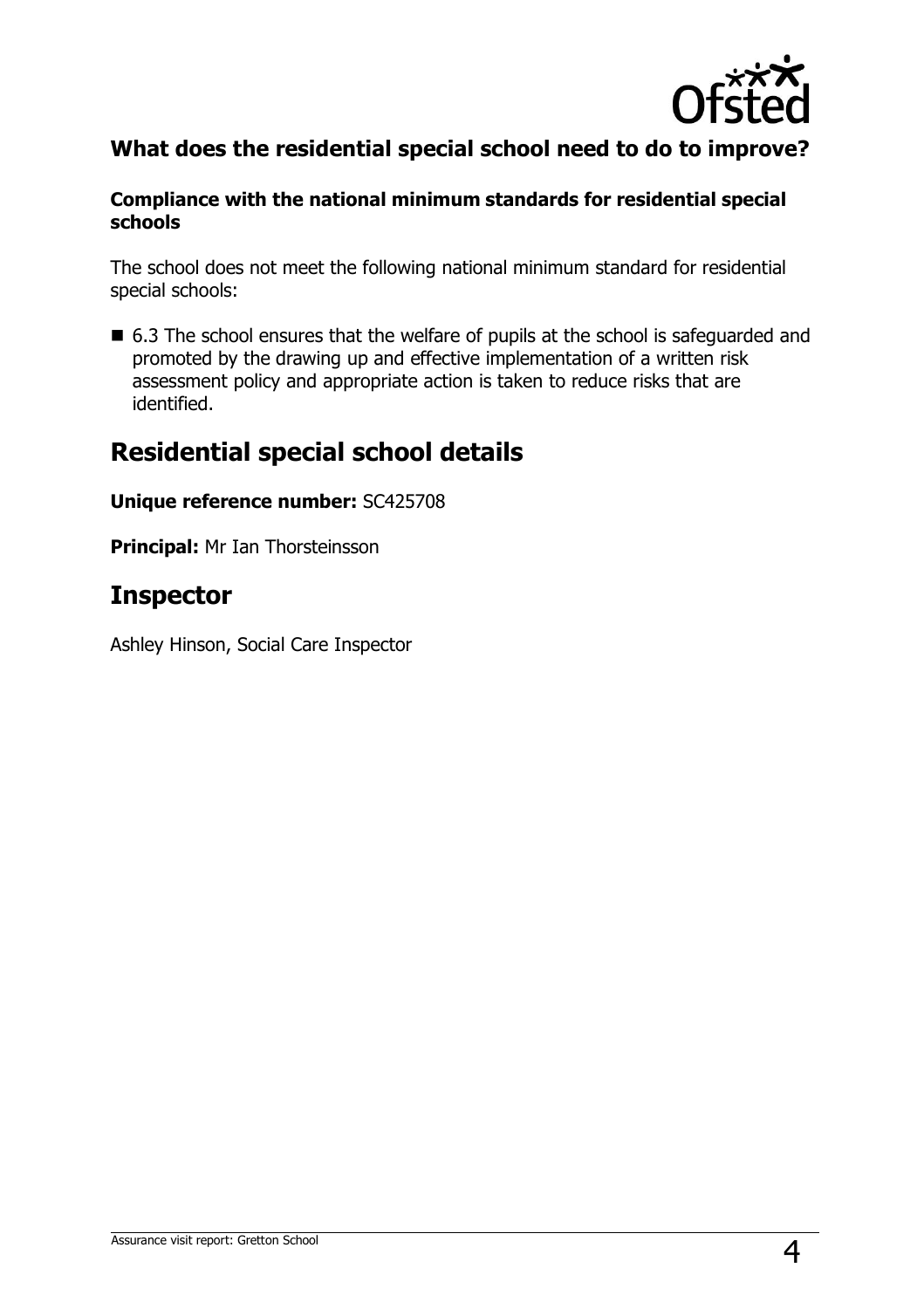

## **What does the residential special school need to do to improve?**

#### **Compliance with the national minimum standards for residential special schools**

The school does not meet the following national minimum standard for residential special schools:

■ 6.3 The school ensures that the welfare of pupils at the school is safeguarded and promoted by the drawing up and effective implementation of a written risk assessment policy and appropriate action is taken to reduce risks that are identified.

# **Residential special school details**

#### **Unique reference number:** SC425708

**Principal:** Mr Ian Thorsteinsson

# **Inspector**

Ashley Hinson, Social Care Inspector